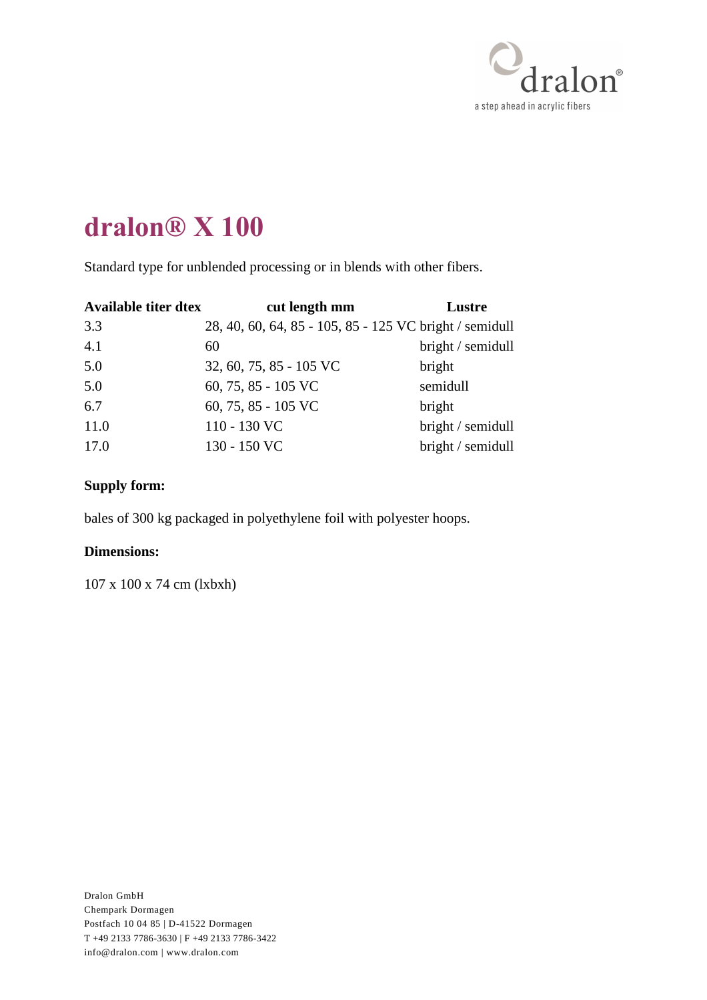

Standard type for unblended processing or in blends with other fibers.

| <b>Available titer dtex</b> | cut length mm                                           | Lustre            |
|-----------------------------|---------------------------------------------------------|-------------------|
| 3.3                         | 28, 40, 60, 64, 85 - 105, 85 - 125 VC bright / semidull |                   |
| 4.1                         | 60                                                      | bright / semidull |
| 5.0                         | 32, 60, 75, 85 - 105 VC                                 | bright            |
| 5.0                         | 60, 75, 85 - 105 VC                                     | semidull          |
| 6.7                         | 60, 75, 85 - 105 VC                                     | bright            |
| 11.0                        | 110 - 130 VC                                            | bright / semidull |
| 17.0                        | 130 - 150 VC                                            | bright / semidull |

### **Supply form:**

bales of 300 kg packaged in polyethylene foil with polyester hoops.

#### **Dimensions:**

107 x 100 x 74 cm (lxbxh)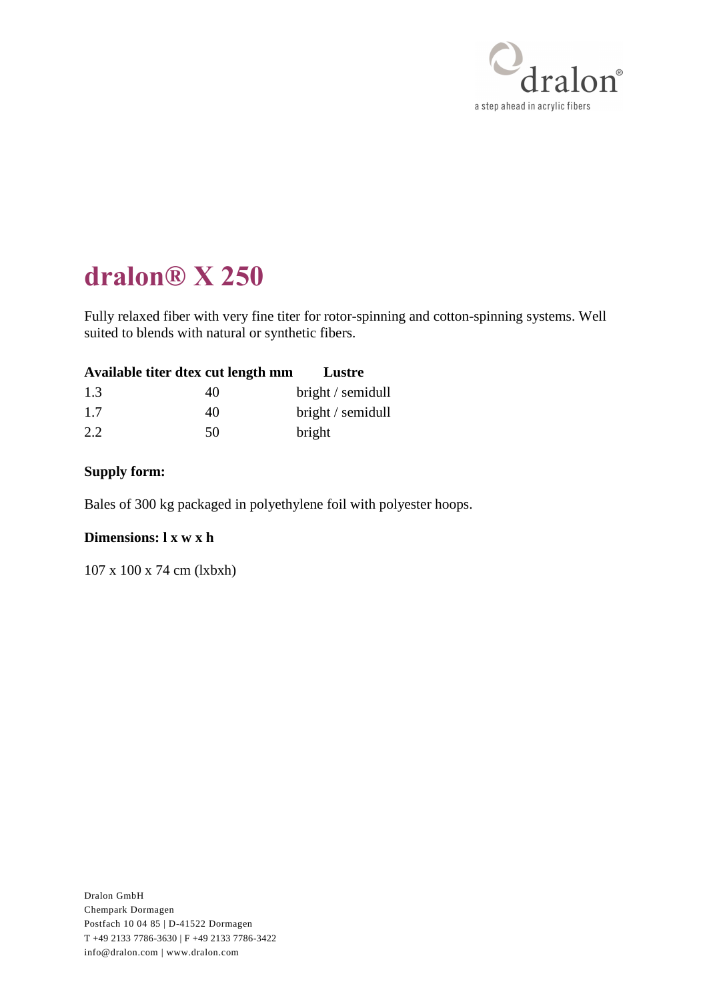

Fully relaxed fiber with very fine titer for rotor-spinning and cotton-spinning systems. Well suited to blends with natural or synthetic fibers.

| Available titer dtex cut length mm |  | Lustre |  |
|------------------------------------|--|--------|--|
|                                    |  |        |  |

| 1.3 | 40 | bright / semidull |
|-----|----|-------------------|
| 1.7 | 40 | bright / semidull |
| 2.2 | 50 | bright            |

### **Supply form:**

Bales of 300 kg packaged in polyethylene foil with polyester hoops.

### **Dimensions: l x w x h**

107 x 100 x 74 cm (lxbxh)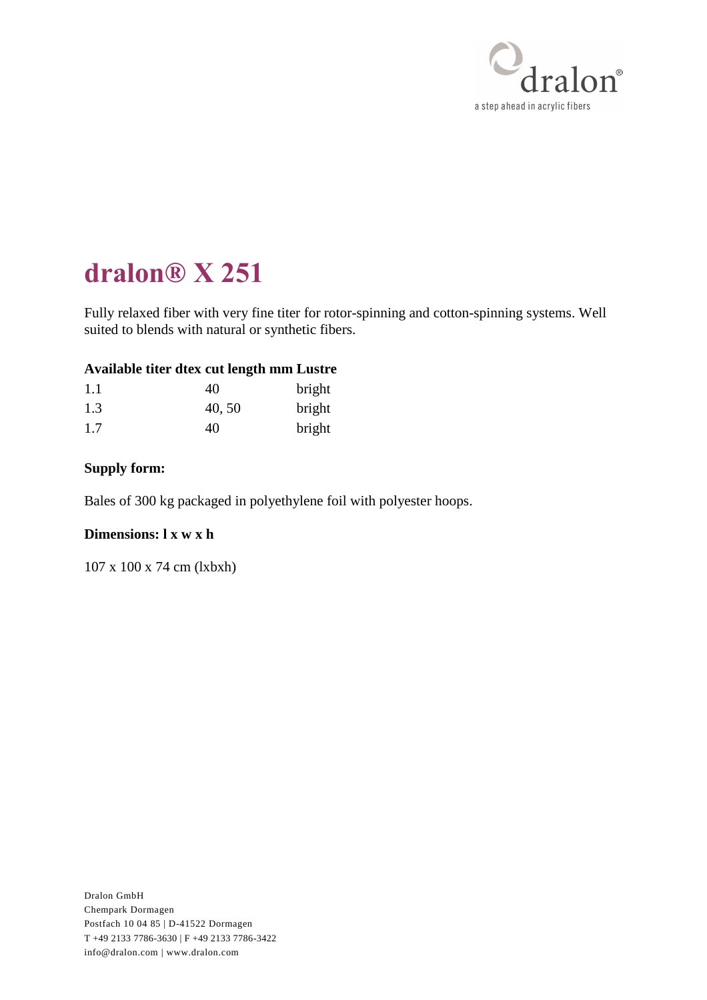

Fully relaxed fiber with very fine titer for rotor-spinning and cotton-spinning systems. Well suited to blends with natural or synthetic fibers.

#### **Available titer dtex cut length mm Lustre**

| 1.1 | 40     | bright |
|-----|--------|--------|
| 1.3 | 40, 50 | bright |
| 1.7 | 40     | bright |

#### **Supply form:**

Bales of 300 kg packaged in polyethylene foil with polyester hoops.

#### **Dimensions: l x w x h**

107 x 100 x 74 cm (lxbxh)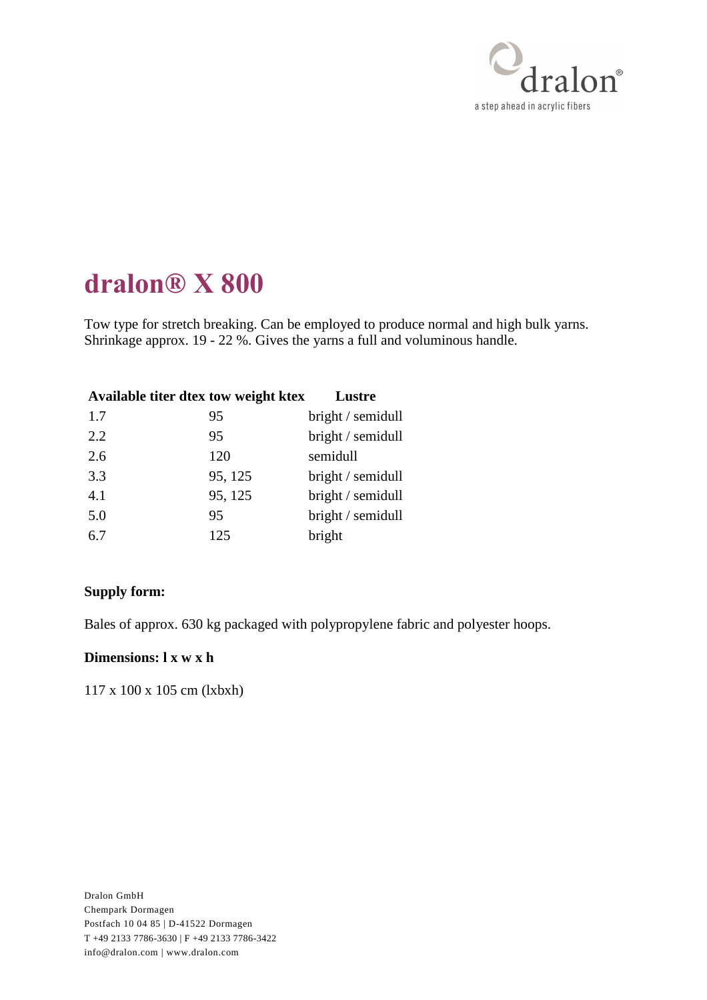

Tow type for stretch breaking. Can be employed to produce normal and high bulk yarns. Shrinkage approx. 19 - 22 %. Gives the yarns a full and voluminous handle.

| Available titer dtex tow weight ktex |         | Lustre            |
|--------------------------------------|---------|-------------------|
| 1.7                                  | 95      | bright / semidull |
| 2.2                                  | 95      | bright / semidull |
| 2.6                                  | 120     | semidull          |
| 3.3                                  | 95, 125 | bright / semidull |
| 4.1                                  | 95, 125 | bright / semidull |
| 5.0                                  | 95      | bright / semidull |
| 6.7                                  | 125     | bright            |
|                                      |         |                   |

### **Supply form:**

Bales of approx. 630 kg packaged with polypropylene fabric and polyester hoops.

#### **Dimensions: l x w x h**

117 x 100 x 105 cm (lxbxh)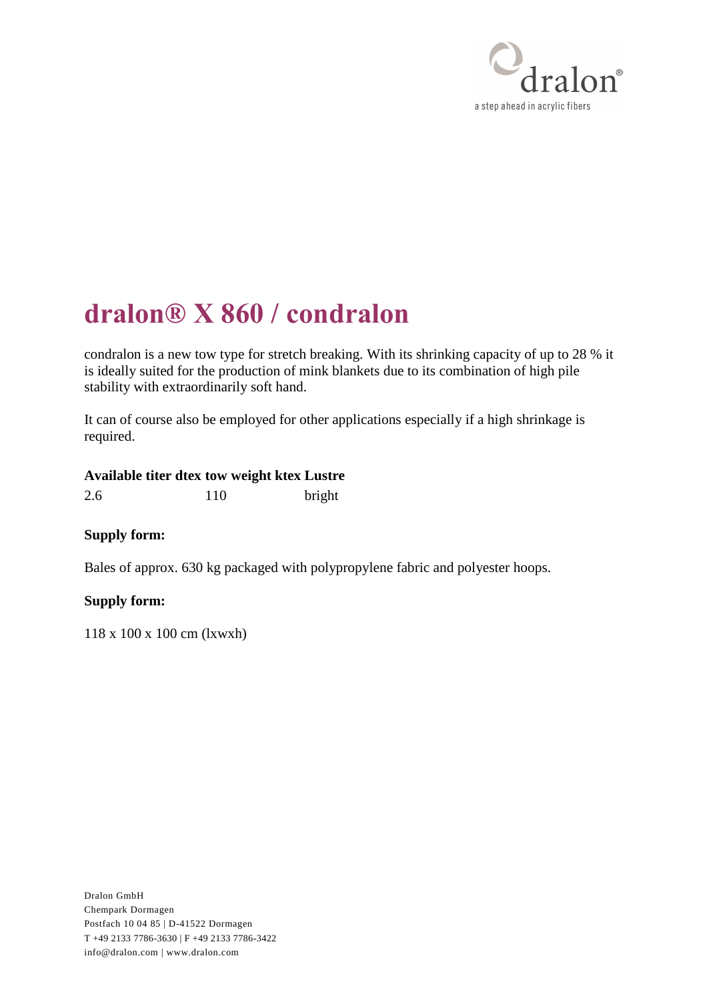

# **dralon® X 860 / condralon**

condralon is a new tow type for stretch breaking. With its shrinking capacity of up to 28 % it is ideally suited for the production of mink blankets due to its combination of high pile stability with extraordinarily soft hand.

It can of course also be employed for other applications especially if a high shrinkage is required.

### **Available titer dtex tow weight ktex Lustre**

2.6 110 bright

### **Supply form:**

Bales of approx. 630 kg packaged with polypropylene fabric and polyester hoops.

### **Supply form:**

118 x 100 x 100 cm (lxwxh)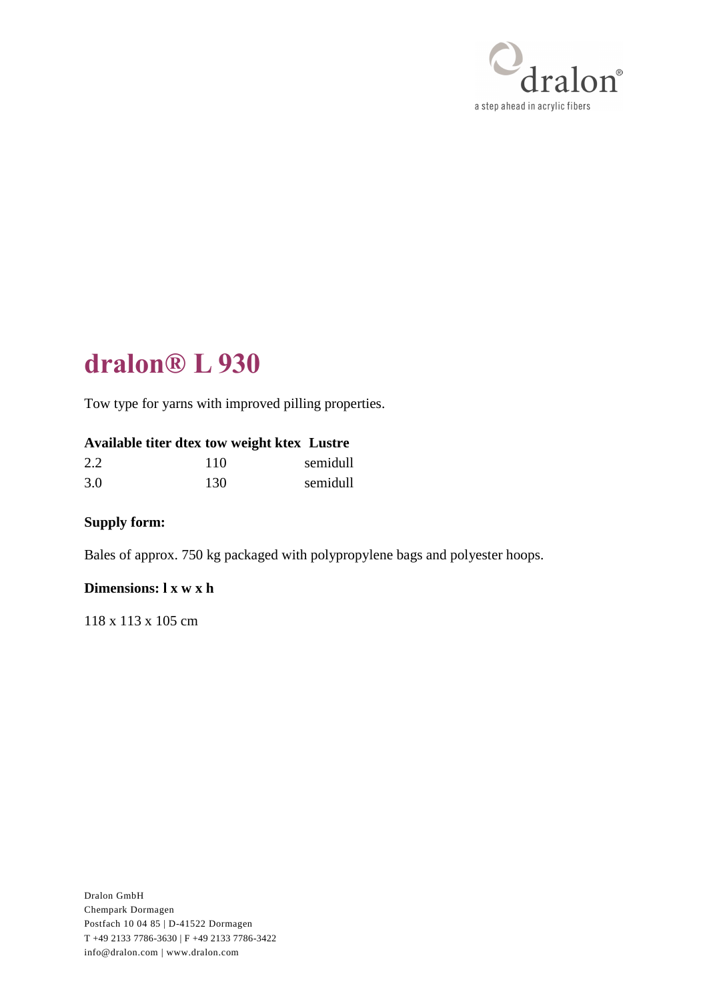

# **dralon® L 930**

Tow type for yarns with improved pilling properties.

### **Available titer dtex tow weight ktex Lustre**

| 2.2 | 110 | semidull |
|-----|-----|----------|
| 3.0 | 130 | semidull |

## **Supply form:**

Bales of approx. 750 kg packaged with polypropylene bags and polyester hoops.

#### **Dimensions: l x w x h**

118 x 113 x 105 cm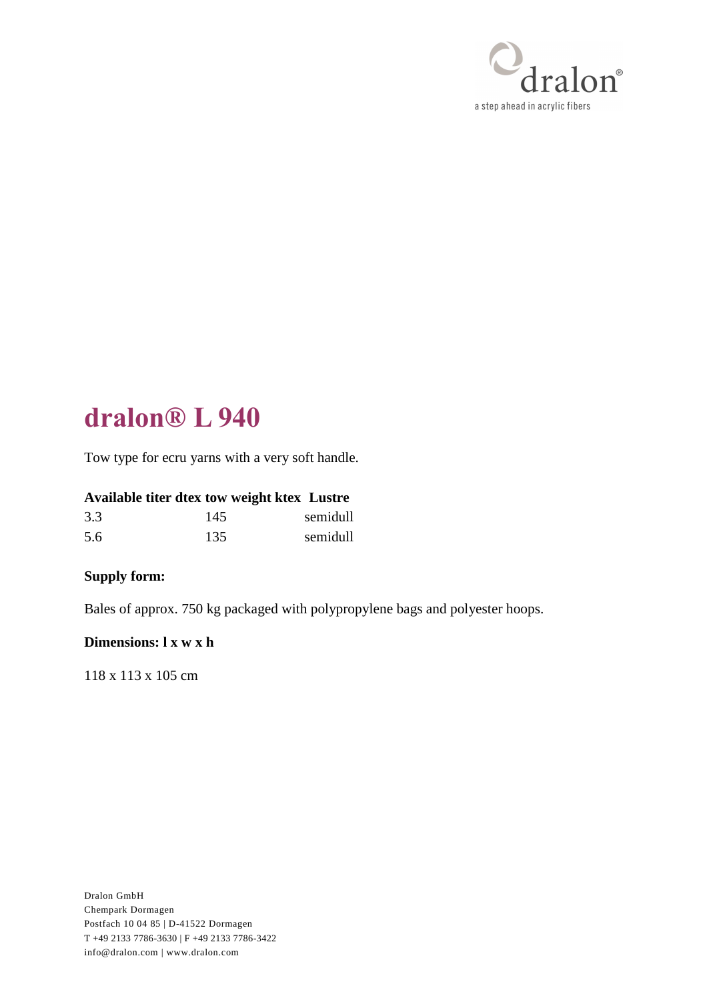

# **dralon® L 940**

Tow type for ecru yarns with a very soft handle.

## **Available titer dtex tow weight ktex Lustre**

| 3.3 | 145 | semidull |
|-----|-----|----------|
| 5.6 | 135 | semidull |

### **Supply form:**

Bales of approx. 750 kg packaged with polypropylene bags and polyester hoops.

#### **Dimensions: l x w x h**

118 x 113 x 105 cm